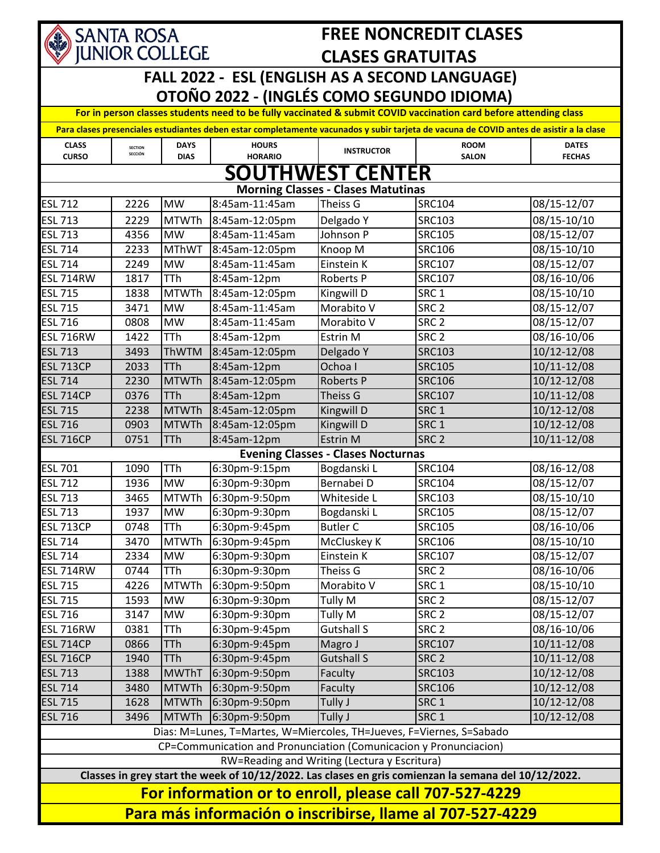

## **FREE NONCREDIT CLASES CLASES GRATUITAS**

## **FALL 2022 - ESL (ENGLISH AS A SECOND LANGUAGE) OTOÑO 2022 - (INGLÉS COMO SEGUNDO IDIOMA)**

**For in person classes students need to be fully vaccinated & submit COVID vaccination card before attending class** 

| Para clases presenciales estudiantes deben estar completamente vacunados y subir tarjeta de vacuna de COVID antes de asistir a la clase |                           |                            |                                |                                           |                             |                               |  |
|-----------------------------------------------------------------------------------------------------------------------------------------|---------------------------|----------------------------|--------------------------------|-------------------------------------------|-----------------------------|-------------------------------|--|
| <b>CLASS</b><br><b>CURSO</b>                                                                                                            | <b>SECTION</b><br>SECCIÓN | <b>DAYS</b><br><b>DIAS</b> | <b>HOURS</b><br><b>HORARIO</b> | <b>INSTRUCTOR</b>                         | <b>ROOM</b><br><b>SALON</b> | <b>DATES</b><br><b>FECHAS</b> |  |
| <b>SOUTHWEST CENTER</b>                                                                                                                 |                           |                            |                                |                                           |                             |                               |  |
| <b>Morning Classes - Clases Matutinas</b>                                                                                               |                           |                            |                                |                                           |                             |                               |  |
| <b>ESL 712</b>                                                                                                                          | 2226                      | <b>MW</b>                  | 8:45am-11:45am                 | <b>Theiss G</b>                           | <b>SRC104</b>               | 08/15-12/07                   |  |
| <b>ESL 713</b>                                                                                                                          | 2229                      | <b>MTWTh</b>               | 8:45am-12:05pm                 | Delgado Y                                 | <b>SRC103</b>               | 08/15-10/10                   |  |
| <b>ESL 713</b>                                                                                                                          | 4356                      | <b>MW</b>                  | 8:45am-11:45am                 | Johnson P                                 | <b>SRC105</b>               | 08/15-12/07                   |  |
| <b>ESL 714</b>                                                                                                                          | 2233                      | <b>MThWT</b>               | 8:45am-12:05pm                 | Knoop M                                   | <b>SRC106</b>               | 08/15-10/10                   |  |
| <b>ESL 714</b>                                                                                                                          | 2249                      | <b>MW</b>                  | 8:45am-11:45am                 | Einstein K                                | <b>SRC107</b>               | 08/15-12/07                   |  |
| <b>ESL 714RW</b>                                                                                                                        | 1817                      | <b>TTh</b>                 | 8:45am-12pm                    | Roberts P                                 | <b>SRC107</b>               | 08/16-10/06                   |  |
| <b>ESL 715</b>                                                                                                                          | 1838                      | <b>MTWTh</b>               | 8:45am-12:05pm                 | Kingwill D                                | SRC <sub>1</sub>            | 08/15-10/10                   |  |
| <b>ESL 715</b>                                                                                                                          | 3471                      | <b>MW</b>                  | 8:45am-11:45am                 | Morabito V                                | SRC <sub>2</sub>            | 08/15-12/07                   |  |
| <b>ESL 716</b>                                                                                                                          | 0808                      | <b>MW</b>                  | 8:45am-11:45am                 | Morabito V                                | SRC <sub>2</sub>            | 08/15-12/07                   |  |
| <b>ESL 716RW</b>                                                                                                                        | 1422                      | <b>TTh</b>                 | 8:45am-12pm                    | Estrin M                                  | SRC <sub>2</sub>            | 08/16-10/06                   |  |
| <b>ESL 713</b>                                                                                                                          | 3493                      | <b>ThWTM</b>               | 8:45am-12:05pm                 | Delgado Y                                 | <b>SRC103</b>               | 10/12-12/08                   |  |
| <b>ESL 713CP</b>                                                                                                                        | 2033                      | <b>TTh</b>                 | 8:45am-12pm                    | Ochoa I                                   | <b>SRC105</b>               | 10/11-12/08                   |  |
| <b>ESL 714</b>                                                                                                                          | 2230                      | <b>MTWTh</b>               | 8:45am-12:05pm                 | <b>Roberts P</b>                          | <b>SRC106</b>               | 10/12-12/08                   |  |
| <b>ESL 714CP</b>                                                                                                                        | 0376                      | <b>TTh</b>                 | 8:45am-12pm                    | Theiss G                                  | <b>SRC107</b>               | 10/11-12/08                   |  |
| <b>ESL 715</b>                                                                                                                          | 2238                      | <b>MTWTh</b>               | 8:45am-12:05pm                 | Kingwill D                                | SRC <sub>1</sub>            | 10/12-12/08                   |  |
| <b>ESL 716</b>                                                                                                                          | 0903                      | <b>MTWTh</b>               | 8:45am-12:05pm                 | Kingwill D                                | SRC <sub>1</sub>            | 10/12-12/08                   |  |
| <b>ESL 716CP</b>                                                                                                                        | 0751                      | <b>TTh</b>                 | 8:45am-12pm                    | <b>Estrin M</b>                           | SRC <sub>2</sub>            | 10/11-12/08                   |  |
|                                                                                                                                         |                           |                            |                                | <b>Evening Classes - Clases Nocturnas</b> |                             |                               |  |
| <b>ESL 701</b>                                                                                                                          | 1090                      | <b>TTh</b>                 | 6:30pm-9:15pm                  | Bogdanski L                               | <b>SRC104</b>               | 08/16-12/08                   |  |
| <b>ESL 712</b>                                                                                                                          | 1936                      | <b>MW</b>                  | 6:30pm-9:30pm                  | Bernabei D                                | <b>SRC104</b>               | $\overline{08/15}$ -12/07     |  |
| <b>ESL 713</b>                                                                                                                          | 3465                      | <b>MTWTh</b>               | 6:30pm-9:50pm                  | Whiteside L                               | <b>SRC103</b>               | 08/15-10/10                   |  |
| <b>ESL 713</b>                                                                                                                          | 1937                      | <b>MW</b>                  | 6:30pm-9:30pm                  | Bogdanski L                               | <b>SRC105</b>               | 08/15-12/07                   |  |
| <b>ESL 713CP</b>                                                                                                                        | 0748                      | <b>TTh</b>                 | 6:30pm-9:45pm                  | <b>Butler C</b>                           | <b>SRC105</b>               | 08/16-10/06                   |  |
| <b>ESL 714</b>                                                                                                                          | 3470                      | <b>MTWTh</b>               | 6:30pm-9:45pm                  | McCluskey K                               | <b>SRC106</b>               | 08/15-10/10                   |  |
| <b>ESL 714</b>                                                                                                                          | 2334                      | <b>MW</b>                  | 6:30pm-9:30pm                  | Einstein K                                | <b>SRC107</b>               | 08/15-12/07                   |  |
| <b>ESL 714RW</b>                                                                                                                        | 0744                      | <b>TTh</b>                 | $6:30$ pm-9:30pm               | Theiss G                                  | SRC <sub>2</sub>            | 08/16-10/06                   |  |
| <b>ESL 715</b>                                                                                                                          | 4226                      | <b>MTWTh</b>               | 6:30pm-9:50pm                  | Morabito V                                | SRC <sub>1</sub>            | 08/15-10/10                   |  |
| <b>ESL 715</b>                                                                                                                          | 1593                      | <b>MW</b>                  | 6:30pm-9:30pm                  | Tully M                                   | SRC <sub>2</sub>            | 08/15-12/07                   |  |
| <b>ESL 716</b>                                                                                                                          | 3147                      | <b>MW</b>                  | 6:30pm-9:30pm                  | Tully M                                   | SRC <sub>2</sub>            | 08/15-12/07                   |  |
| <b>ESL 716RW</b>                                                                                                                        | 0381                      | TTh                        | 6:30pm-9:45pm                  | <b>Gutshall S</b>                         | SRC <sub>2</sub>            | 08/16-10/06                   |  |
| <b>ESL 714CP</b>                                                                                                                        | 0866                      | <b>TTh</b>                 | 6:30pm-9:45pm                  | Magro J                                   | <b>SRC107</b>               | 10/11-12/08                   |  |
| <b>ESL 716CP</b>                                                                                                                        | 1940                      | <b>TTh</b>                 | 6:30pm-9:45pm                  | <b>Gutshall S</b>                         | SRC <sub>2</sub>            | 10/11-12/08                   |  |
| <b>ESL 713</b>                                                                                                                          | 1388                      | <b>MWThT</b>               | 6:30pm-9:50pm                  | Faculty                                   | <b>SRC103</b>               | 10/12-12/08                   |  |
| <b>ESL 714</b>                                                                                                                          | 3480                      | <b>MTWTh</b>               | 6:30pm-9:50pm                  | Faculty                                   | <b>SRC106</b>               | 10/12-12/08                   |  |
| <b>ESL 715</b>                                                                                                                          | 1628                      | <b>MTWTh</b>               | 6:30pm-9:50pm                  | Tully J                                   | SRC <sub>1</sub>            | 10/12-12/08                   |  |
| <b>ESL 716</b>                                                                                                                          | 3496                      | <b>MTWTh</b>               | 6:30pm-9:50pm                  | Tully J                                   | SRC <sub>1</sub>            | 10/12-12/08                   |  |
| Dias: M=Lunes, T=Martes, W=Miercoles, TH=Jueves, F=Viernes, S=Sabado                                                                    |                           |                            |                                |                                           |                             |                               |  |
| CP=Communication and Pronunciation (Comunicacion y Pronunciacion)                                                                       |                           |                            |                                |                                           |                             |                               |  |
| RW=Reading and Writing (Lectura y Escritura)                                                                                            |                           |                            |                                |                                           |                             |                               |  |
| Classes in grey start the week of 10/12/2022. Las clases en gris comienzan la semana del 10/12/2022.                                    |                           |                            |                                |                                           |                             |                               |  |
| For information or to enroll, please call 707-527-4229                                                                                  |                           |                            |                                |                                           |                             |                               |  |
| Para más información o inscribirse, llame al 707-527-4229                                                                               |                           |                            |                                |                                           |                             |                               |  |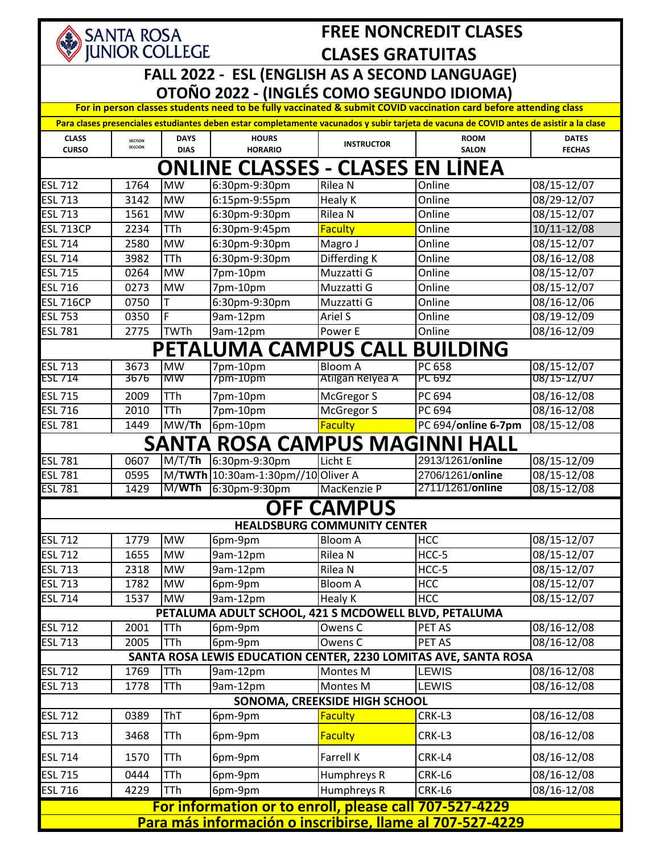| <b>FREE NONCREDIT CLASES</b><br>SANTA ROSA                                                                                              |                |                            |                                                      |                                    |                                                                 |                        |  |  |
|-----------------------------------------------------------------------------------------------------------------------------------------|----------------|----------------------------|------------------------------------------------------|------------------------------------|-----------------------------------------------------------------|------------------------|--|--|
| <b>JUNIOR COLLEGE</b><br><b>CLASES GRATUITAS</b>                                                                                        |                |                            |                                                      |                                    |                                                                 |                        |  |  |
| FALL 2022 - ESL (ENGLISH AS A SECOND LANGUAGE)<br>OTOÑO 2022 - (INGLÉS COMO SEGUNDO IDIOMA)                                             |                |                            |                                                      |                                    |                                                                 |                        |  |  |
| For in person classes students need to be fully vaccinated & submit COVID vaccination card before attending class                       |                |                            |                                                      |                                    |                                                                 |                        |  |  |
| Para clases presenciales estudiantes deben estar completamente vacunados y subir tarjeta de vacuna de COVID antes de asistir a la clase |                |                            |                                                      |                                    |                                                                 |                        |  |  |
| <b>CLASS</b>                                                                                                                            | <b>SECTION</b> | <b>DAYS</b>                | <b>HOURS</b>                                         |                                    | <b>ROOM</b>                                                     | <b>DATES</b>           |  |  |
| <b>CURSO</b>                                                                                                                            | SECCIÓN        | <b>DIAS</b>                | <b>HORARIO</b>                                       | <b>INSTRUCTOR</b>                  | <b>SALON</b>                                                    | <b>FECHAS</b>          |  |  |
| ONLINE CLASSES - CLASES EN LINEA                                                                                                        |                |                            |                                                      |                                    |                                                                 |                        |  |  |
| <b>ESL 712</b>                                                                                                                          | 1764           | <b>MW</b>                  | 6:30pm-9:30pm                                        | Rilea N                            | Online                                                          | 08/15-12/07            |  |  |
| <b>ESL 713</b>                                                                                                                          | 3142           | <b>MW</b>                  | 6:15pm-9:55pm                                        | Healy K                            | Online                                                          | 08/29-12/07            |  |  |
| <b>ESL 713</b>                                                                                                                          | 1561           | <b>MW</b>                  | 6:30pm-9:30pm                                        | Rilea N                            | Online                                                          | 08/15-12/07            |  |  |
| <b>ESL 713CP</b>                                                                                                                        | 2234           | <b>TTh</b>                 | 6:30pm-9:45pm                                        | <b>Faculty</b>                     | Online                                                          | 10/11-12/08            |  |  |
| <b>ESL 714</b>                                                                                                                          | 2580           | <b>MW</b>                  | 6:30pm-9:30pm                                        | Magro J                            | Online                                                          | 08/15-12/07            |  |  |
| <b>ESL 714</b>                                                                                                                          | 3982           | <b>TTh</b>                 | 6:30pm-9:30pm                                        | Differding K                       | Online                                                          | 08/16-12/08            |  |  |
| <b>ESL 715</b>                                                                                                                          | 0264           | <b>MW</b>                  | 7pm-10pm                                             | Muzzatti G                         | Online                                                          | 08/15-12/07            |  |  |
| <b>ESL 716</b>                                                                                                                          | 0273           | <b>MW</b>                  | 7pm-10pm                                             | Muzzatti G                         | Online                                                          | 08/15-12/07            |  |  |
| <b>ESL 716CP</b>                                                                                                                        | 0750           | Τ                          | 6:30pm-9:30pm                                        | Muzzatti G                         | Online                                                          | 08/16-12/06            |  |  |
| <b>ESL 753</b>                                                                                                                          | 0350           | F                          | 9am-12pm                                             | Ariel S                            | Online                                                          | 08/19-12/09            |  |  |
| <b>ESL 781</b>                                                                                                                          | 2775           | <b>TWTh</b>                | 9am-12pm                                             | Power E                            | Online                                                          | 08/16-12/09            |  |  |
|                                                                                                                                         |                |                            | PETALUMA CAMPUS CALL                                 |                                    | <b>BUILDING</b>                                                 |                        |  |  |
| <b>ESL 713</b>                                                                                                                          | 3673           | <b>MW</b>                  | 7pm-10pm                                             | <b>Bloom A</b>                     | PC 658                                                          | 08/15-12/07            |  |  |
| <b>ESL 714</b>                                                                                                                          | 3676           | <b>MW</b>                  | 7pm-10pm                                             | Atilgan Relyea A                   | PC 692                                                          | 08/15-12/07            |  |  |
| <b>ESL 715</b>                                                                                                                          | 2009           | <b>TTh</b>                 | 7pm-10pm                                             | McGregor S                         | PC 694                                                          | 08/16-12/08            |  |  |
| <b>ESL 716</b>                                                                                                                          | 2010           | <b>TTh</b>                 | 7pm-10pm                                             | McGregor S                         | PC 694                                                          | 08/16-12/08            |  |  |
| <b>ESL 781</b>                                                                                                                          | 1449           | $\overline{\text{MW}}$ /Th | 6pm-10pm                                             | <b>Faculty</b>                     | PC 694/online 6-7pm                                             | 08/15-12/08            |  |  |
|                                                                                                                                         |                | <b>SAN1</b>                |                                                      |                                    | <b>ROSA CAMPUS MAGINNI HALL</b>                                 |                        |  |  |
| <b>ESL 781</b>                                                                                                                          | 0607           | M/T/Th                     | 6:30pm-9:30pm                                        | Licht E                            | 2913/1261/online                                                | 08/15-12/09            |  |  |
| <b>ESL 781</b>                                                                                                                          | 0595           |                            | M/TWTh 10:30am-1:30pm//10 Oliver A                   |                                    | 2706/1261/online                                                | $\frac{08}{15}$ -12/08 |  |  |
| <b>ESL 781</b>                                                                                                                          | 1429           | M/WTh                      | 6:30pm-9:30pm                                        | MacKenzie P                        | 2711/1261/online                                                | 08/15-12/08            |  |  |
|                                                                                                                                         |                |                            |                                                      | <b>OFF CAMPUS</b>                  |                                                                 |                        |  |  |
|                                                                                                                                         |                |                            |                                                      | <b>HEALDSBURG COMMUNITY CENTER</b> |                                                                 |                        |  |  |
| <b>ESL 712</b>                                                                                                                          | 1779           | $\overline{M}W$            | 6pm-9pm                                              | <b>Bloom A</b>                     | <b>HCC</b>                                                      | 08/15-12/07            |  |  |
| <b>ESL 712</b>                                                                                                                          | 1655           | <b>MW</b>                  | 9am-12pm                                             | Rilea N                            | HCC-5                                                           | 08/15-12/07            |  |  |
| <b>ESL 713</b>                                                                                                                          | 2318           | <b>MW</b>                  | 9am-12pm                                             | Rilea N                            | HCC-5                                                           | 08/15-12/07            |  |  |
| <b>ESL 713</b>                                                                                                                          | 1782           | <b>MW</b>                  | 6pm-9pm                                              | <b>Bloom A</b>                     | <b>HCC</b>                                                      | 08/15-12/07            |  |  |
| <b>ESL 714</b>                                                                                                                          | 1537           | <b>MW</b>                  | 9am-12pm                                             | Healy K                            | <b>HCC</b>                                                      | 08/15-12/07            |  |  |
|                                                                                                                                         |                |                            | PETALUMA ADULT SCHOOL, 421 S MCDOWELL BLVD, PETALUMA |                                    |                                                                 |                        |  |  |
| <b>ESL 712</b>                                                                                                                          | 2001           | TTh                        | 6pm-9pm                                              | Owens C                            | PET AS                                                          | 08/16-12/08            |  |  |
| <b>ESL 713</b>                                                                                                                          | 2005           | <b>TTh</b>                 | 6pm-9pm                                              | Owens C                            | PET AS                                                          | 08/16-12/08            |  |  |
|                                                                                                                                         |                |                            |                                                      |                                    | SANTA ROSA LEWIS EDUCATION CENTER, 2230 LOMITAS AVE, SANTA ROSA |                        |  |  |
| <b>ESL 712</b>                                                                                                                          | 1769           | <b>TTh</b>                 | 9am-12pm                                             | Montes M                           | <b>LEWIS</b>                                                    | 08/16-12/08            |  |  |
| <b>ESL 713</b>                                                                                                                          | 1778           | <b>TTh</b>                 | 9am-12pm                                             | Montes M                           | <b>LEWIS</b>                                                    | 08/16-12/08            |  |  |
|                                                                                                                                         |                |                            |                                                      | SONOMA, CREEKSIDE HIGH SCHOOL      |                                                                 |                        |  |  |
| <b>ESL 712</b>                                                                                                                          | 0389           | <b>ThT</b>                 | 6pm-9pm                                              | <b>Faculty</b>                     | CRK-L3                                                          | 08/16-12/08            |  |  |
| <b>ESL 713</b>                                                                                                                          | 3468           | TTh                        | 6pm-9pm                                              | <b>Faculty</b>                     | CRK-L3                                                          | 08/16-12/08            |  |  |
| <b>ESL 714</b>                                                                                                                          | 1570           | <b>TTh</b>                 | 6pm-9pm                                              | <b>Farrell K</b>                   | CRK-L4                                                          | 08/16-12/08            |  |  |
| <b>ESL 715</b>                                                                                                                          | 0444           | <b>TTh</b>                 | 6pm-9pm                                              | Humphreys R                        | CRK-L6                                                          | 08/16-12/08            |  |  |
| <b>ESL 716</b>                                                                                                                          | 4229           | <b>TTh</b>                 | 6pm-9pm                                              | Humphreys R                        | CRK-L6                                                          | 08/16-12/08            |  |  |
| For information or to enroll, please call 707-527-4229                                                                                  |                |                            |                                                      |                                    |                                                                 |                        |  |  |
|                                                                                                                                         |                |                            |                                                      |                                    |                                                                 |                        |  |  |
| <u>Para más información o inscribirse, llame al 707-527-4229</u>                                                                        |                |                            |                                                      |                                    |                                                                 |                        |  |  |